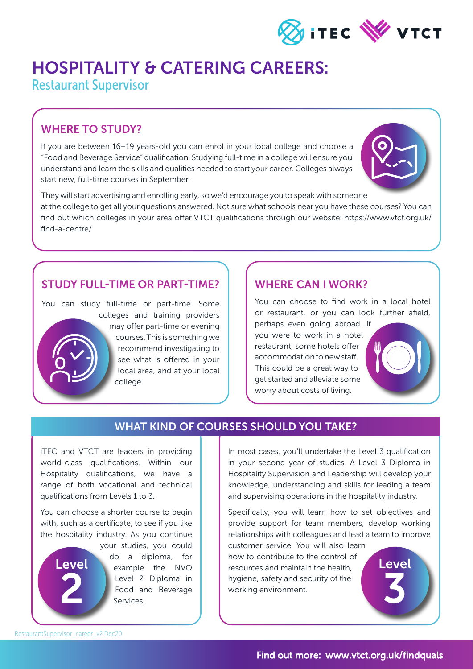

# HOSPITALITY & CATERING CAREERS:

Restaurant Supervisor

### WHERE TO STUDY?

If you are between 16–19 years-old you can enrol in your local college and choose a "Food and Beverage Service" qualification. Studying full-time in a college will ensure you understand and learn the skills and qualities needed to start your career. Colleges always start new, full-time courses in September.



They will start advertising and enrolling early, so we'd encourage you to speak with someone at the college to get all your questions answered. Not sure what schools near you have these courses? You can find out which colleges in your area offer VTCT qualifications through our website: https://www.vtct.org.uk/ find-a-centre/

#### STUDY FULL-TIME OR PART-TIME?

You can study full-time or part-time. Some colleges and training providers may offer part-time or evening courses. This is something we recommend investigating to see what is offered in your local area, and at your local college.

#### WHERE CAN I WORK?

You can choose to find work in a local hotel or restaurant, or you can look further afield, perhaps even going abroad. If you were to work in a hotel restaurant, some hotels offer accommodation to new staff. This could be a great way to get started and alleviate some worry about costs of living.

### WHAT KIND OF COURSES SHOULD YOU TAKE?

iTEC and VTCT are leaders in providing world-class qualifications. Within our Hospitality qualifications, we have a range of both vocational and technical qualifications from Levels 1 to 3.

You can choose a shorter course to begin with, such as a certificate, to see if you like the hospitality industry. As you continue

> your studies, you could do a diploma, for example the NVQ Level 2 Diploma in Food and Beverage Services.

In most cases, you'll undertake the Level 3 qualification in your second year of studies. A Level 3 Diploma in Hospitality Supervision and Leadership will develop your knowledge, understanding and skills for leading a team and supervising operations in the hospitality industry.

Specifically, you will learn how to set objectives and provide support for team members, develop working relationships with colleagues and lead a team to improve

customer service. You will also learn how to contribute to the control of resources and maintain the health, hygiene, safety and security of the working environment.



Level

2

Level

3